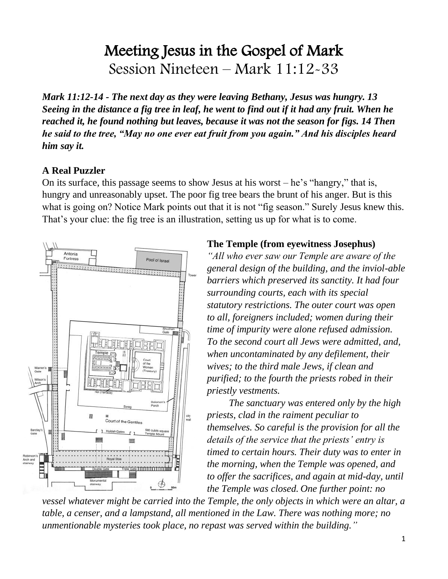# Meeting Jesus in the Gospel of Mark Session Nineteen – Mark 11:12-33

*Mark 11:12-14 - The next day as they were leaving Bethany, Jesus was hungry. 13 Seeing in the distance a fig tree in leaf, he went to find out if it had any fruit. When he reached it, he found nothing but leaves, because it was not the season for figs. 14 Then he said to the tree, "May no one ever eat fruit from you again." And his disciples heard him say it.*

### **A Real Puzzler**

On its surface, this passage seems to show Jesus at his worst – he's "hangry," that is, hungry and unreasonably upset. The poor fig tree bears the brunt of his anger. But is this what is going on? Notice Mark points out that it is not "fig season." Surely Jesus knew this. That's your clue: the fig tree is an illustration, setting us up for what is to come.



#### **The Temple (from eyewitness Josephus)**

*"All who ever saw our Temple are aware of the general design of the building, and the inviol-able barriers which preserved its sanctity. It had four surrounding courts, each with its special statutory restrictions. The outer court was open to all, foreigners included; women during their time of impurity were alone refused admission. To the second court all Jews were admitted, and, when uncontaminated by any defilement, their wives; to the third male Jews, if clean and purified; to the fourth the priests robed in their priestly vestments.* 

*The sanctuary was entered only by the high priests, clad in the raiment peculiar to themselves. So careful is the provision for all the details of the service that the priests' entry is timed to certain hours. Their duty was to enter in the morning, when the Temple was opened, and to offer the sacrifices, and again at mid-day, until the Temple was closed. One further point: no* 

*vessel whatever might be carried into the Temple, the only objects in which were an altar, a table, a censer, and a lampstand, all mentioned in the Law. There was nothing more; no unmentionable mysteries took place, no repast was served within the building."*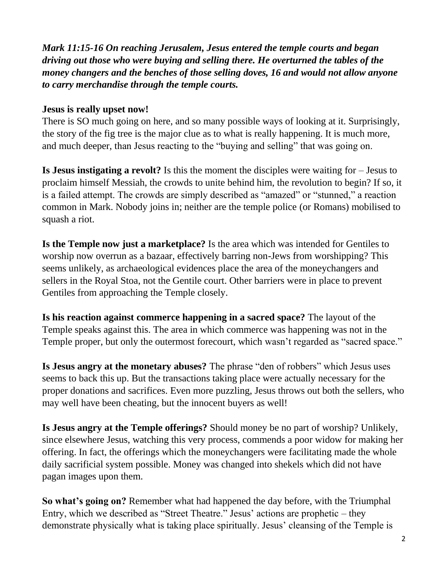*Mark 11:15-16 On reaching Jerusalem, Jesus entered the temple courts and began driving out those who were buying and selling there. He overturned the tables of the money changers and the benches of those selling doves, 16 and would not allow anyone to carry merchandise through the temple courts.* 

#### **Jesus is really upset now!**

There is SO much going on here, and so many possible ways of looking at it. Surprisingly, the story of the fig tree is the major clue as to what is really happening. It is much more, and much deeper, than Jesus reacting to the "buying and selling" that was going on.

**Is Jesus instigating a revolt?** Is this the moment the disciples were waiting for – Jesus to proclaim himself Messiah, the crowds to unite behind him, the revolution to begin? If so, it is a failed attempt. The crowds are simply described as "amazed" or "stunned," a reaction common in Mark. Nobody joins in; neither are the temple police (or Romans) mobilised to squash a riot.

**Is the Temple now just a marketplace?** Is the area which was intended for Gentiles to worship now overrun as a bazaar, effectively barring non-Jews from worshipping? This seems unlikely, as archaeological evidences place the area of the moneychangers and sellers in the Royal Stoa, not the Gentile court. Other barriers were in place to prevent Gentiles from approaching the Temple closely.

**Is his reaction against commerce happening in a sacred space?** The layout of the Temple speaks against this. The area in which commerce was happening was not in the Temple proper, but only the outermost forecourt, which wasn't regarded as "sacred space."

**Is Jesus angry at the monetary abuses?** The phrase "den of robbers" which Jesus uses seems to back this up. But the transactions taking place were actually necessary for the proper donations and sacrifices. Even more puzzling, Jesus throws out both the sellers, who may well have been cheating, but the innocent buyers as well!

**Is Jesus angry at the Temple offerings?** Should money be no part of worship? Unlikely, since elsewhere Jesus, watching this very process, commends a poor widow for making her offering. In fact, the offerings which the moneychangers were facilitating made the whole daily sacrificial system possible. Money was changed into shekels which did not have pagan images upon them.

**So what's going on?** Remember what had happened the day before, with the Triumphal Entry, which we described as "Street Theatre." Jesus' actions are prophetic – they demonstrate physically what is taking place spiritually. Jesus' cleansing of the Temple is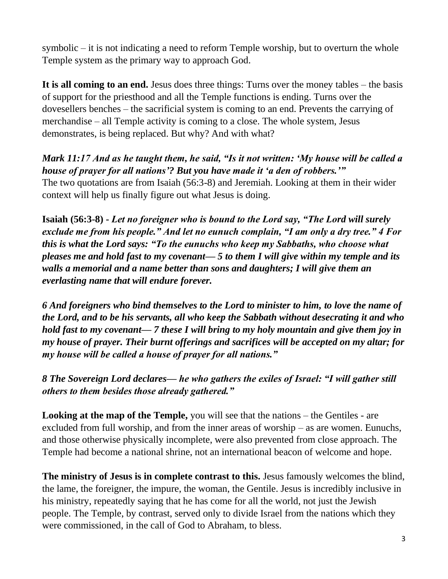symbolic – it is not indicating a need to reform Temple worship, but to overturn the whole Temple system as the primary way to approach God.

**It is all coming to an end.** Jesus does three things: Turns over the money tables – the basis of support for the priesthood and all the Temple functions is ending. Turns over the dovesellers benches – the sacrificial system is coming to an end. Prevents the carrying of merchandise – all Temple activity is coming to a close. The whole system, Jesus demonstrates, is being replaced. But why? And with what?

*Mark 11:17 And as he taught them, he said, "Is it not written: 'My house will be called a house of prayer for all nations'? But you have made it 'a den of robbers.'"* The two quotations are from Isaiah (56:3-8) and Jeremiah. Looking at them in their wider context will help us finally figure out what Jesus is doing.

**Isaiah (56:3-8) -** *Let no foreigner who is bound to the Lord say, "The Lord will surely exclude me from his people." And let no eunuch complain, "I am only a dry tree." 4 For this is what the Lord says: "To the eunuchs who keep my Sabbaths, who choose what pleases me and hold fast to my covenant— 5 to them I will give within my temple and its walls a memorial and a name better than sons and daughters; I will give them an everlasting name that will endure forever.* 

*6 And foreigners who bind themselves to the Lord to minister to him, to love the name of the Lord, and to be his servants, all who keep the Sabbath without desecrating it and who hold fast to my covenant— 7 these I will bring to my holy mountain and give them joy in my house of prayer. Their burnt offerings and sacrifices will be accepted on my altar; for my house will be called a house of prayer for all nations."*

*8 The Sovereign Lord declares— he who gathers the exiles of Israel: "I will gather still others to them besides those already gathered."*

**Looking at the map of the Temple,** you will see that the nations – the Gentiles - are excluded from full worship, and from the inner areas of worship – as are women. Eunuchs, and those otherwise physically incomplete, were also prevented from close approach. The Temple had become a national shrine, not an international beacon of welcome and hope.

**The ministry of Jesus is in complete contrast to this.** Jesus famously welcomes the blind, the lame, the foreigner, the impure, the woman, the Gentile. Jesus is incredibly inclusive in his ministry, repeatedly saying that he has come for all the world, not just the Jewish people. The Temple, by contrast, served only to divide Israel from the nations which they were commissioned, in the call of God to Abraham, to bless.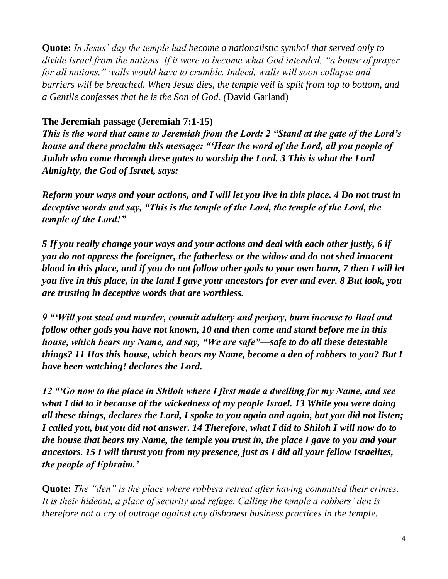**Quote:** *In Jesus' day the temple had become a nationalistic symbol that served only to divide Israel from the nations. If it were to become what God intended, "a house of prayer for all nations," walls would have to crumble. Indeed, walls will soon collapse and barriers will be breached. When Jesus dies, the temple veil is split from top to bottom, and a Gentile confesses that he is the Son of God. (*David Garland)

#### **The Jeremiah passage (Jeremiah 7:1-15)**

*This is the word that came to Jeremiah from the Lord: 2 "Stand at the gate of the Lord's house and there proclaim this message: "'Hear the word of the Lord, all you people of Judah who come through these gates to worship the Lord. 3 This is what the Lord Almighty, the God of Israel, says:* 

*Reform your ways and your actions, and I will let you live in this place. 4 Do not trust in deceptive words and say, "This is the temple of the Lord, the temple of the Lord, the temple of the Lord!"* 

*5 If you really change your ways and your actions and deal with each other justly, 6 if you do not oppress the foreigner, the fatherless or the widow and do not shed innocent blood in this place, and if you do not follow other gods to your own harm, 7 then I will let you live in this place, in the land I gave your ancestors for ever and ever. 8 But look, you are trusting in deceptive words that are worthless.*

*9 "'Will you steal and murder, commit adultery and perjury, burn incense to Baal and follow other gods you have not known, 10 and then come and stand before me in this house, which bears my Name, and say, "We are safe"—safe to do all these detestable things? 11 Has this house, which bears my Name, become a den of robbers to you? But I have been watching! declares the Lord.*

*12 "'Go now to the place in Shiloh where I first made a dwelling for my Name, and see what I did to it because of the wickedness of my people Israel. 13 While you were doing all these things, declares the Lord, I spoke to you again and again, but you did not listen; I called you, but you did not answer. 14 Therefore, what I did to Shiloh I will now do to the house that bears my Name, the temple you trust in, the place I gave to you and your ancestors. 15 I will thrust you from my presence, just as I did all your fellow Israelites, the people of Ephraim.'*

**Quote:** *The "den" is the place where robbers retreat after having committed their crimes. It is their hideout, a place of security and refuge. Calling the temple a robbers' den is therefore not a cry of outrage against any dishonest business practices in the temple.*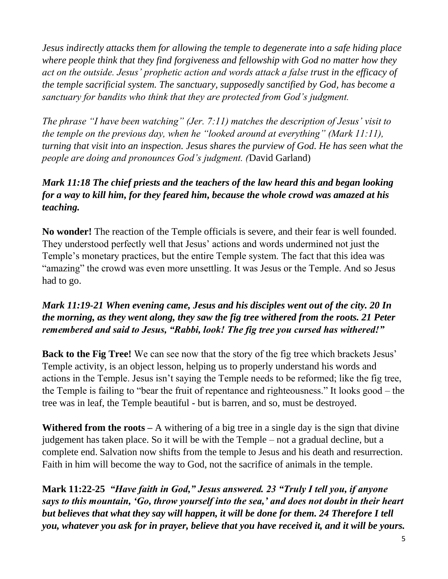*Jesus indirectly attacks them for allowing the temple to degenerate into a safe hiding place where people think that they find forgiveness and fellowship with God no matter how they act on the outside. Jesus' prophetic action and words attack a false trust in the efficacy of the temple sacrificial system. The sanctuary, supposedly sanctified by God, has become a sanctuary for bandits who think that they are protected from God's judgment.* 

*The phrase "I have been watching" (Jer. 7:11) matches the description of Jesus' visit to the temple on the previous day, when he "looked around at everything" (Mark 11:11), turning that visit into an inspection. Jesus shares the purview of God. He has seen what the people are doing and pronounces God's judgment. (*David Garland)

## *Mark 11:18 The chief priests and the teachers of the law heard this and began looking for a way to kill him, for they feared him, because the whole crowd was amazed at his teaching.*

**No wonder!** The reaction of the Temple officials is severe, and their fear is well founded. They understood perfectly well that Jesus' actions and words undermined not just the Temple's monetary practices, but the entire Temple system. The fact that this idea was "amazing" the crowd was even more unsettling. It was Jesus or the Temple. And so Jesus had to go.

## *Mark 11:19-21 When evening came, Jesus and his disciples went out of the city. 20 In the morning, as they went along, they saw the fig tree withered from the roots. 21 Peter remembered and said to Jesus, "Rabbi, look! The fig tree you cursed has withered!"*

**Back to the Fig Tree!** We can see now that the story of the fig tree which brackets Jesus' Temple activity, is an object lesson, helping us to properly understand his words and actions in the Temple. Jesus isn't saying the Temple needs to be reformed; like the fig tree, the Temple is failing to "bear the fruit of repentance and righteousness." It looks good – the tree was in leaf, the Temple beautiful - but is barren, and so, must be destroyed.

**Withered from the roots –** A withering of a big tree in a single day is the sign that divine judgement has taken place. So it will be with the Temple – not a gradual decline, but a complete end. Salvation now shifts from the temple to Jesus and his death and resurrection. Faith in him will become the way to God, not the sacrifice of animals in the temple.

**Mark 11:22-25** *"Have faith in God," Jesus answered. 23 "Truly I tell you, if anyone says to this mountain, 'Go, throw yourself into the sea,' and does not doubt in their heart but believes that what they say will happen, it will be done for them. 24 Therefore I tell you, whatever you ask for in prayer, believe that you have received it, and it will be yours.*